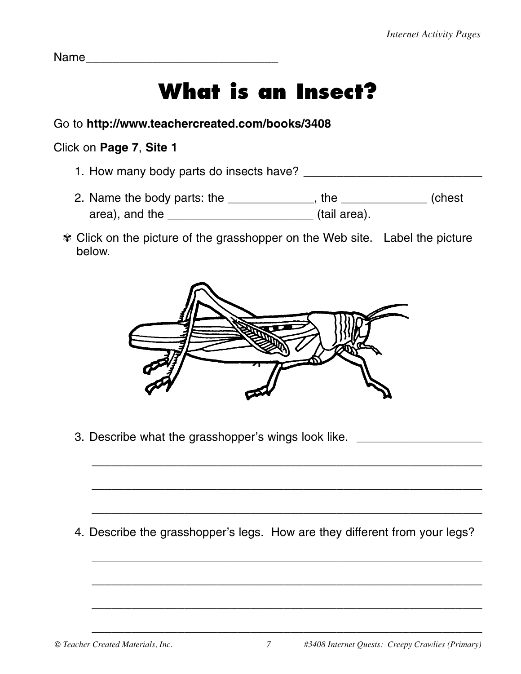Name\_\_\_\_\_\_\_\_\_\_\_\_\_\_\_\_\_\_\_\_\_\_\_\_\_\_\_\_\_

# **What is an Insect?**

# Go to **http://www.teachercreated.com/books/3408**

# Click on **Page 7**, **Site 1**

- 1. How many body parts do insects have? \_\_\_\_\_\_\_\_\_\_\_\_\_\_\_\_\_\_\_\_\_\_\_\_\_\_\_
- 2. Name the body parts: the \_\_\_\_\_\_\_\_\_\_\_\_\_, the \_\_\_\_\_\_\_\_\_\_\_\_ (chest area), and the \_\_\_\_\_\_\_\_\_\_\_\_\_\_\_\_\_\_\_\_\_\_\_\_\_\_\_\_(tail area).
- ✾ Click on the picture of the grasshopper on the Web site. Label the picture below.



3. Describe what the grasshopper's wings look like.

4. Describe the grasshopper's legs. How are they different from your legs?

\_\_\_\_\_\_\_\_\_\_\_\_\_\_\_\_\_\_\_\_\_\_\_\_\_\_\_\_\_\_\_\_\_\_\_\_\_\_\_\_\_\_\_\_\_\_\_\_\_\_\_\_\_\_\_\_\_\_\_

\_\_\_\_\_\_\_\_\_\_\_\_\_\_\_\_\_\_\_\_\_\_\_\_\_\_\_\_\_\_\_\_\_\_\_\_\_\_\_\_\_\_\_\_\_\_\_\_\_\_\_\_\_\_\_\_\_\_\_

\_\_\_\_\_\_\_\_\_\_\_\_\_\_\_\_\_\_\_\_\_\_\_\_\_\_\_\_\_\_\_\_\_\_\_\_\_\_\_\_\_\_\_\_\_\_\_\_\_\_\_\_\_\_\_\_\_\_\_

\_\_\_\_\_\_\_\_\_\_\_\_\_\_\_\_\_\_\_\_\_\_\_\_\_\_\_\_\_\_\_\_\_\_\_\_\_\_\_\_\_\_\_\_\_\_\_\_\_\_\_\_\_\_\_\_\_\_\_

\_\_\_\_\_\_\_\_\_\_\_\_\_\_\_\_\_\_\_\_\_\_\_\_\_\_\_\_\_\_\_\_\_\_\_\_\_\_\_\_\_\_\_\_\_\_\_\_\_\_\_\_\_\_\_\_\_\_\_

\_\_\_\_\_\_\_\_\_\_\_\_\_\_\_\_\_\_\_\_\_\_\_\_\_\_\_\_\_\_\_\_\_\_\_\_\_\_\_\_\_\_\_\_\_\_\_\_\_\_\_\_\_\_\_\_\_\_\_

\_\_\_\_\_\_\_\_\_\_\_\_\_\_\_\_\_\_\_\_\_\_\_\_\_\_\_\_\_\_\_\_\_\_\_\_\_\_\_\_\_\_\_\_\_\_\_\_\_\_\_\_\_\_\_\_\_\_\_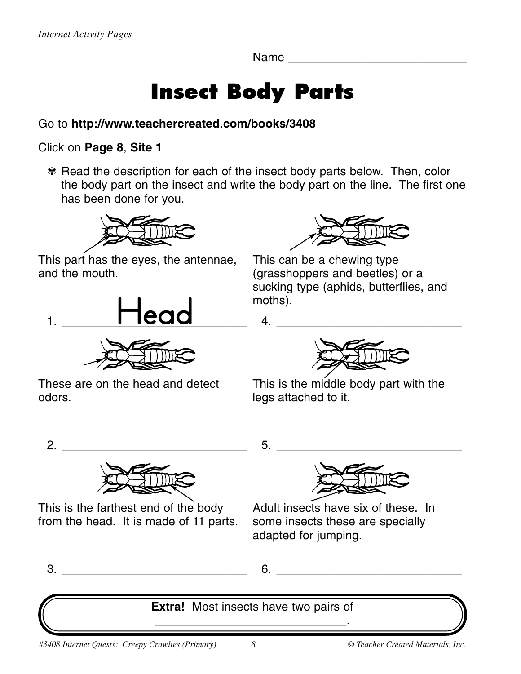Name \_\_\_\_\_\_\_\_\_\_\_\_\_\_\_\_\_\_\_\_\_\_\_\_\_\_\_

# **Insect Body Parts**

# Go to **http://www.teachercreated.com/books/3408**

# Click on **Page 8**, **Site 1**

✾ Read the description for each of the insect body parts below. Then, color the body part on the insect and write the body part on the line. The first one has been done for you.



This part has the eyes, the antennae, and the mouth.





These are on the head and detect odors.



This can be a chewing type (grasshoppers and beetles) or a sucking type (aphids, butterflies, and moths).



This is the middle body part with the legs attached to it.

2. \_\_\_\_\_\_\_\_\_\_\_\_\_\_\_\_\_\_\_\_\_\_\_\_\_\_\_\_ 5. \_\_\_\_\_\_\_\_\_\_\_\_\_\_\_\_\_\_\_\_\_\_\_\_\_\_\_\_

This is the farthest end of the body from the head. It is made of 11 parts.



Adult insects have six of these. In some insects these are specially adapted for jumping.

 $3.$   $6.$ 



\_\_\_\_\_\_\_\_\_\_\_\_\_\_\_\_\_\_\_\_\_\_\_\_\_\_\_\_\_.